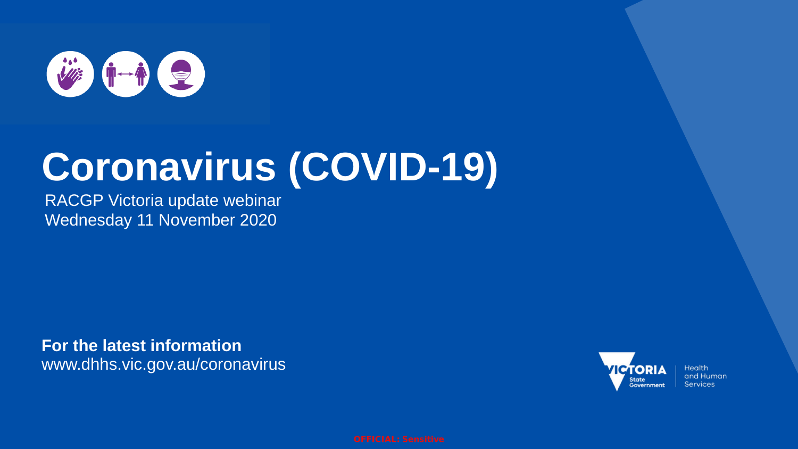

# **Coronavirus (COVID-19)**

RACGP Victoria update webinar Wednesday 11 November 2020

**For the latest information** www.dhhs.vic.gov.au/coronavirus



**Health** and Human **Services**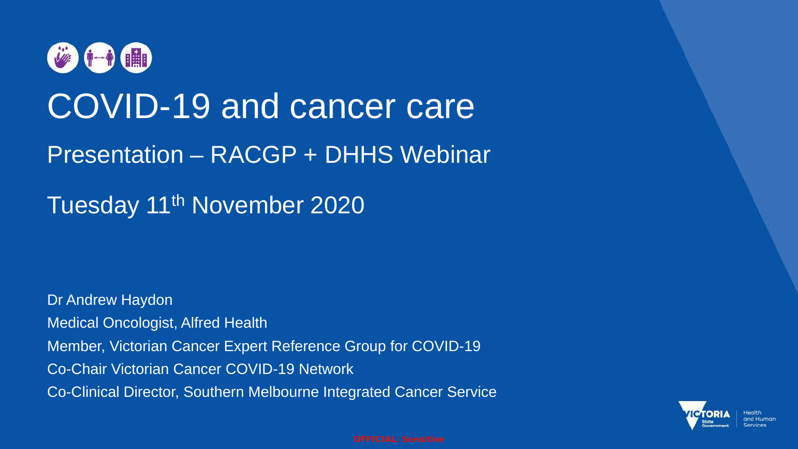

# COVID-19 and cancer care

## Presentation – RACGP + DHHS Webinar

Tuesday 11<sup>th</sup> November 2020

Dr Andrew Haydon Medical Oncologist, Alfred Health Member, Victorian Cancer Expert Reference Group for COVID-19 Co-Chair Victorian Cancer COVID-19 Network Co-Clinical Director, Southern Melbourne Integrated Cancer Service

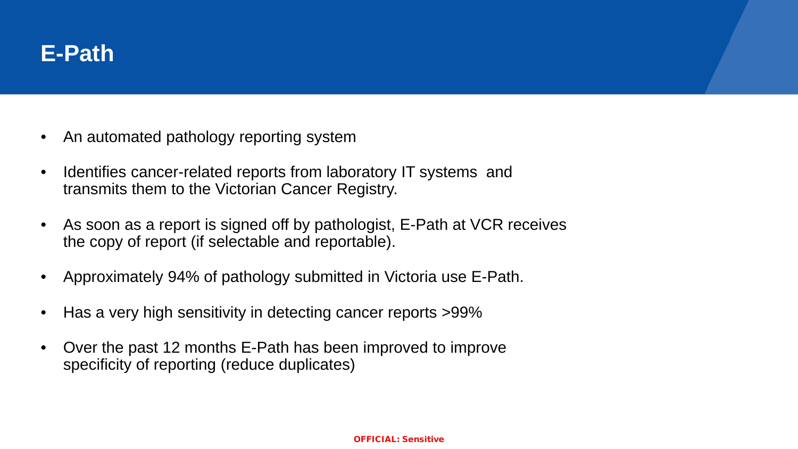

- An automated pathology reporting system
- Identifies cancer-related reports from laboratory IT systems and transmits them to the Victorian Cancer Registry.
- As soon as a report is signed off by pathologist, E-Path at VCR receives the copy of report (if selectable and reportable).
- Approximately 94% of pathology submitted in Victoria use E-Path.
- Has a very high sensitivity in detecting cancer reports >99%
- Over the past 12 months E-Path has been improved to improve specificity of reporting (reduce duplicates)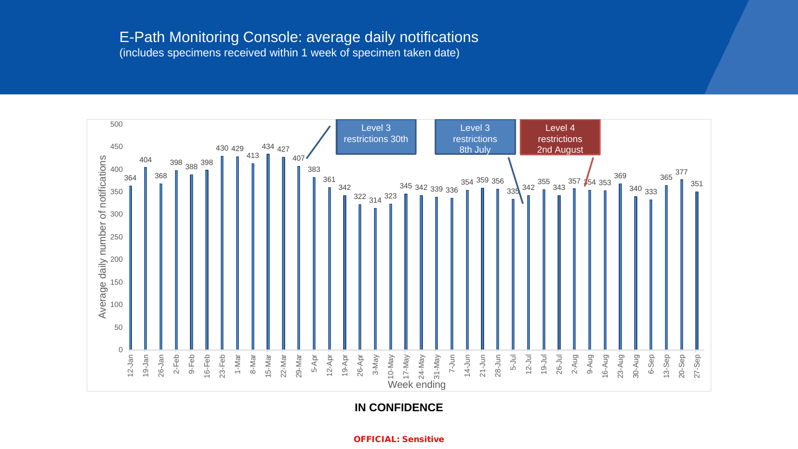## E-Path Monitoring Console: average daily notifications (includes specimens received within 1 week of specimen taken date)



**IN CONFIDENCE**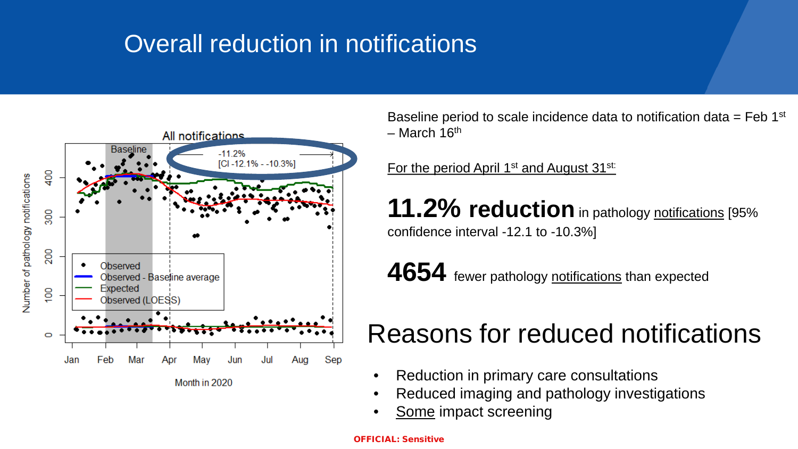# Overall reduction in notifications



Baseline period to scale incidence data to notification data  $=$  Feb 1st  $-$  March 16<sup>th</sup>

For the period April 1<sup>st</sup> and August 31<sup>st:</sup>

**11.2% reduction** in pathology notifications [95% confidence interval -12.1 to -10.3%]

4654 fewer pathology notifications than expected

# Reasons for reduced notifications

- Reduction in primary care consultations
- Reduced imaging and pathology investigations
- Some impact screening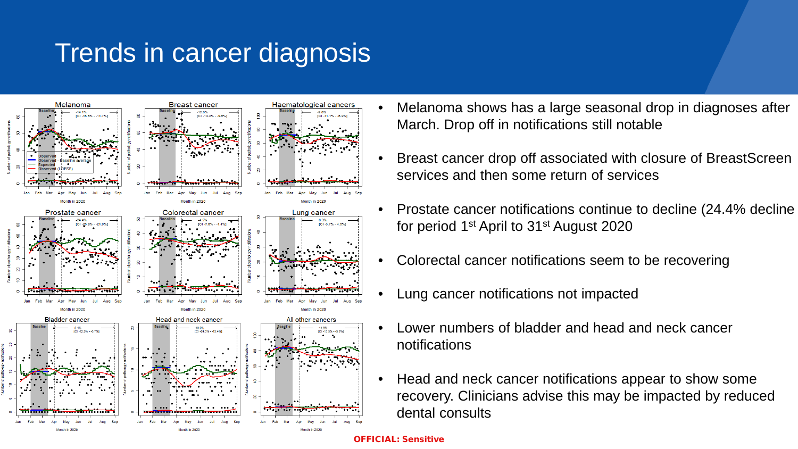# Trends in cancer diagnosis



- Melanoma shows has a large seasonal drop in diagnoses after March. Drop off in notifications still notable
- Breast cancer drop off associated with closure of BreastScreen services and then some return of services
- Prostate cancer notifications continue to decline (24.4% decline for period 1st April to 31st August 2020
- Colorectal cancer notifications seem to be recovering
- Lung cancer notifications not impacted
- Lower numbers of bladder and head and neck cancer notifications
- Head and neck cancer notifications appear to show some recovery. Clinicians advise this may be impacted by reduced dental consults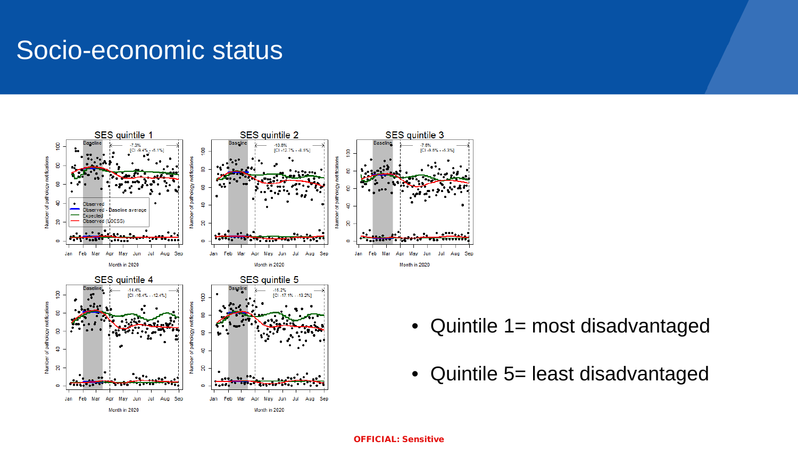# Socio-economic status



- Quintile 1 = most disadvantaged
- Quintile 5= least disadvantaged

#### OFFICIAL: Sensitive

Aug Sep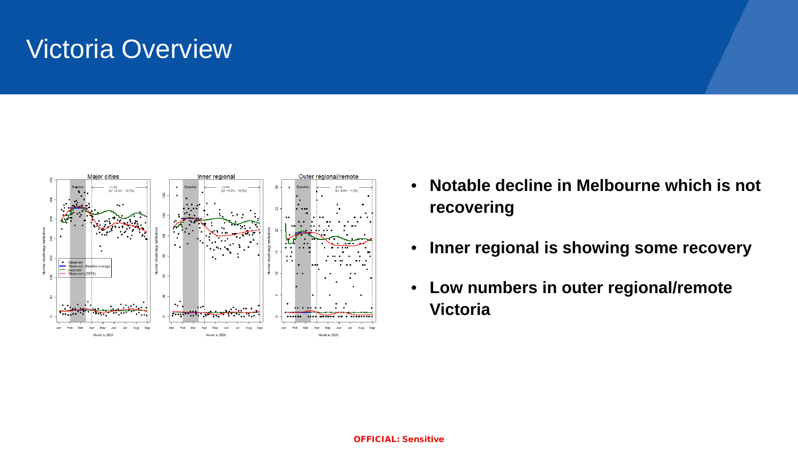# Victoria Overview



- **Notable decline in Melbourne which is not recovering**
- **Inner regional is showing some recovery**
- **Low numbers in outer regional/remote Victoria**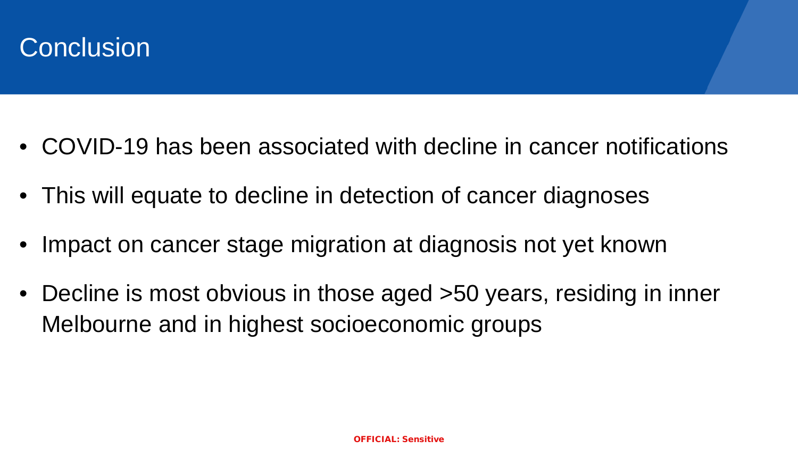

- COVID-19 has been associated with decline in cancer notifications
- This will equate to decline in detection of cancer diagnoses
- Impact on cancer stage migration at diagnosis not yet known
- Decline is most obvious in those aged >50 years, residing in inner Melbourne and in highest socioeconomic groups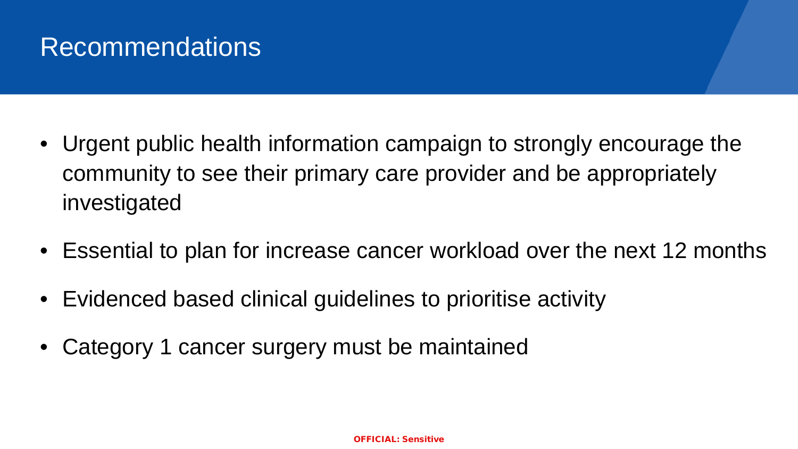# Recommendations

- Urgent public health information campaign to strongly encourage the community to see their primary care provider and be appropriately investigated
- Essential to plan for increase cancer workload over the next 12 months
- Evidenced based clinical guidelines to prioritise activity
- Category 1 cancer surgery must be maintained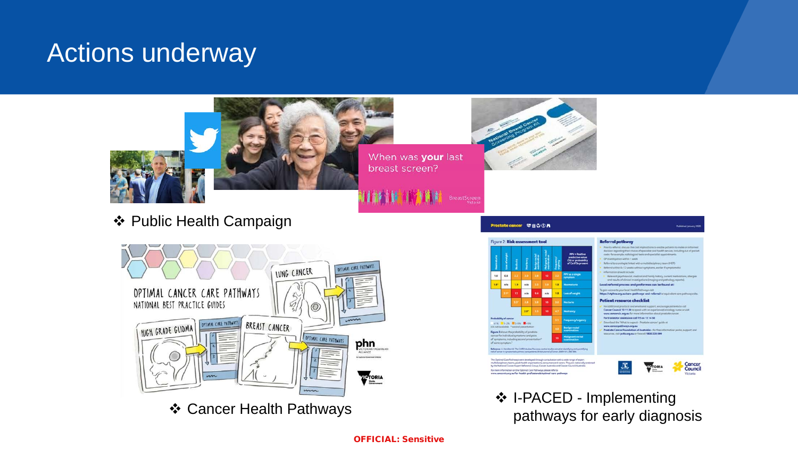# Actions underway



When was your last breast screen?

价值

BreastScreen

前前门

❖ Public Health Campaign



Cancer Health Pathways



formation on the Optimal Care Pathways please refer to<br>invic.org.aw/for-health-professionals/optimal-care-pathways

## Prostate cancer 空自寺①A



- ts: for example, radiological tests and specialist appr
- family lithin 6-12 weeks without symptoms, endler if sur
- 
- al referral process and proformas can be found a
- 
- 

#### nt resource checklist

- ancer Council 13 11 20 to speak with an experi www.cancervic.org.ou for more information about pro
- For translator assistance call TIS on 13 14 50
- load the 'What to expect-
- Prestate Cancer Foundation of Australia for free t pcfa.org.au or freecoli 1800 220 099

Cancer<br>Council

❖ I-PACED - Implementing pathways for early diagnosis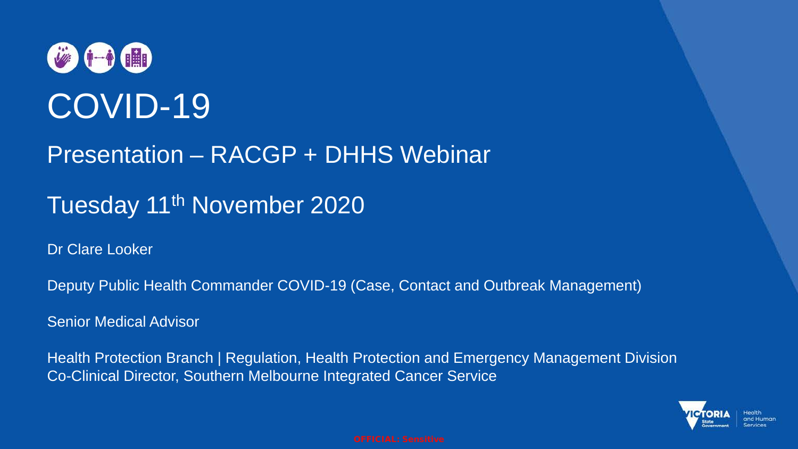# 参中值 COVID-19

## Presentation – RACGP + DHHS Webinar

# Tuesday 11<sup>th</sup> November 2020

Dr Clare Looker

Deputy Public Health Commander COVID-19 (Case, Contact and Outbreak Management)

Senior Medical Advisor

Health Protection Branch | Regulation, Health Protection and Emergency Management Division Co-Clinical Director, Southern Melbourne Integrated Cancer Service

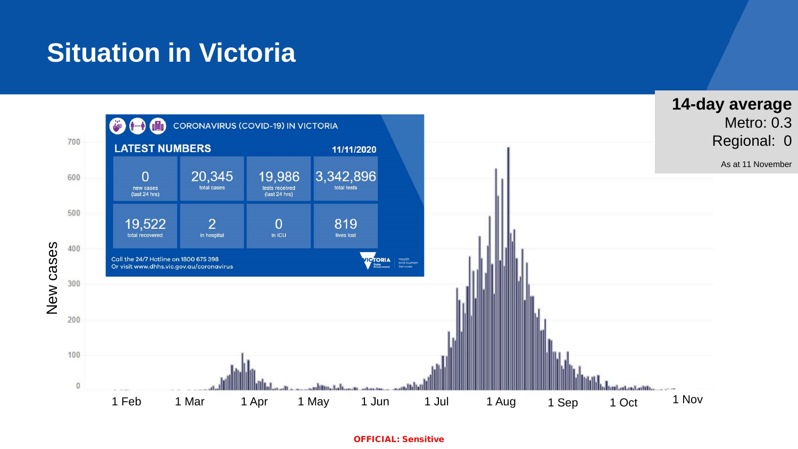# **Situation in Victoria**

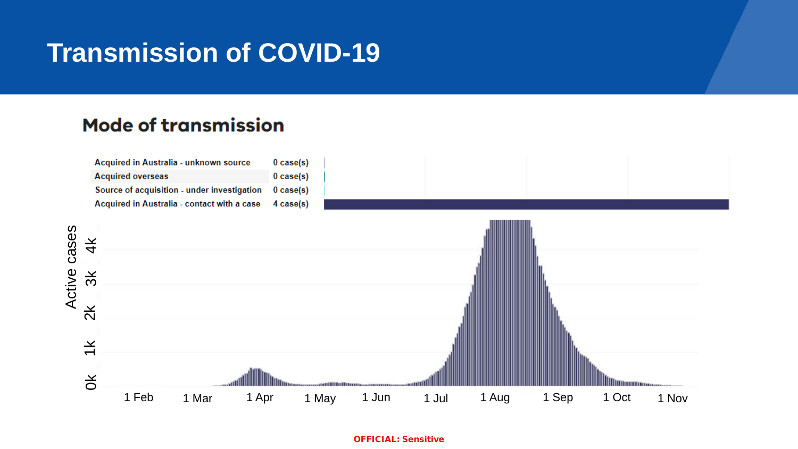# **Transmission of COVID-19**

## **Mode of transmission**

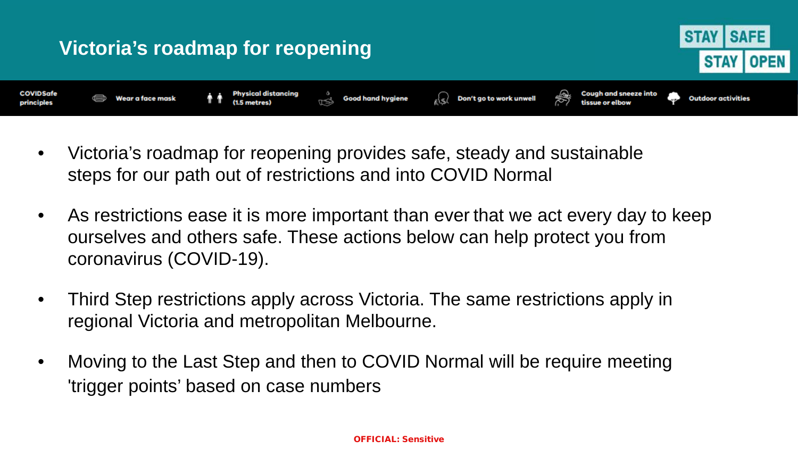

- Victoria's roadmap for reopening provides safe, steady and sustainable steps for our path out of restrictions and into COVID Normal
- As restrictions ease it is more important than ever that we act every day to keep ourselves and others safe. These actions below can help protect you from coronavirus (COVID-19).
- Third Step restrictions apply across Victoria. The same restrictions apply in regional Victoria and metropolitan Melbourne.
- Moving to the Last Step and then to COVID Normal will be require meeting 'trigger points' based on case numbers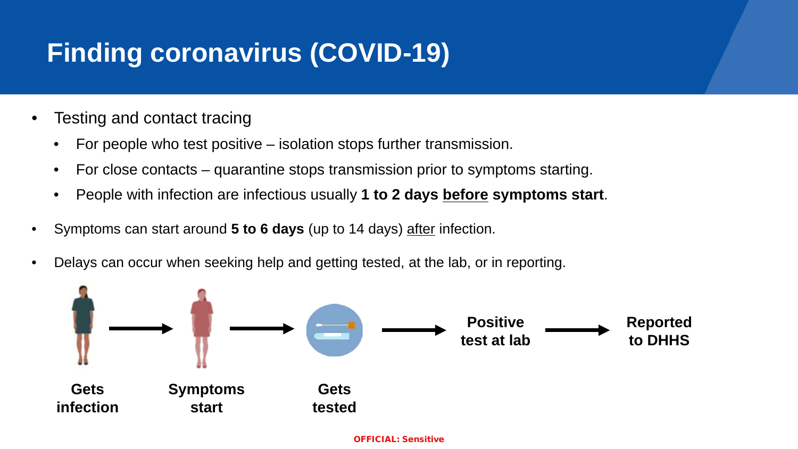# **Finding coronavirus (COVID-19)**

- Testing and contact tracing
	- For people who test positive isolation stops further transmission.
	- For close contacts quarantine stops transmission prior to symptoms starting.
	- People with infection are infectious usually **1 to 2 days before symptoms start**.
- Symptoms can start around **5 to 6 days** (up to 14 days) after infection.
- Delays can occur when seeking help and getting tested, at the lab, or in reporting.

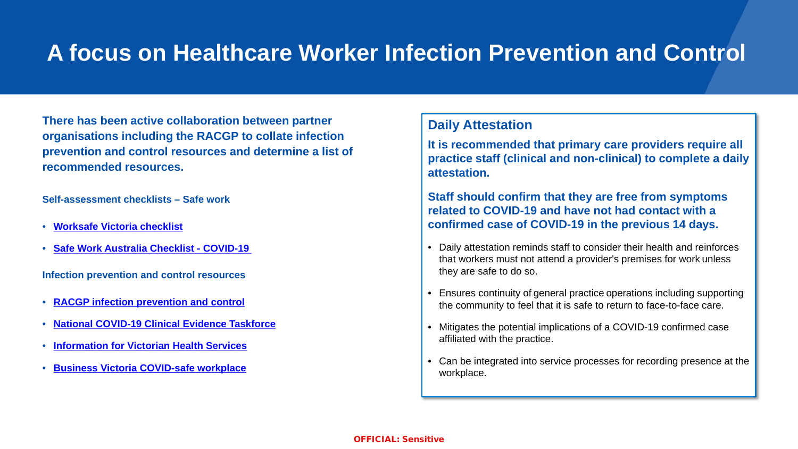## **A focus on Healthcare Worker Infection Prevention and Control**

**There has been active collaboration between partner organisations including the RACGP to collate infection prevention and control resources and determine a list of recommended resources.**

**Self-assessment checklists – Safe work** 

- **[Worksafe Victoria checklist](https://www.worksafe.vic.gov.au/managing-risk-exposure-coronavirus-covid-19-checklist-employers)**
- **[Safe Work Australia Checklist -](https://www.safeworkaustralia.gov.au/sites/default/files/2020-06/COVID-19_Workplace-Checklist_12June2020.pdf) COVID-19**

**Infection prevention and control resources** 

- **[RACGP infection prevention and control](https://www.racgp.org.au/running-a-practice/practice-standards/standards-for-other-health-care-settings/view-all-health-care-standards/infection-prevention-and-control)**
- **[National COVID-19 Clinical Evidence Taskforce](https://covid19evidence.net.au/)**
- **[Information for Victorian Health Services](https://www.dhhs.vic.gov.au/health-services-and-professionals-coronavirus-covid-19)**
- **[Business Victoria COVID-safe workplace](https://www.business.vic.gov.au/coronavirus-covid-19/covid-safe-business/creating-a-covid-safe-workplace)**

## **Daily Attestation**

**It is recommended that primary care providers require all practice staff (clinical and non-clinical) to complete a daily attestation.**

**Staff should confirm that they are free from symptoms related to COVID-19 and have not had contact with a confirmed case of COVID-19 in the previous 14 days.**

- Daily attestation reminds staff to consider their health and reinforces that workers must not attend a provider's premises for work unless they are safe to do so.
- Ensures continuity of general practice operations including supporting the community to feel that it is safe to return to face-to-face care.
- Mitigates the potential implications of a COVID-19 confirmed case affiliated with the practice.
- Can be integrated into service processes for recording presence at the workplace.